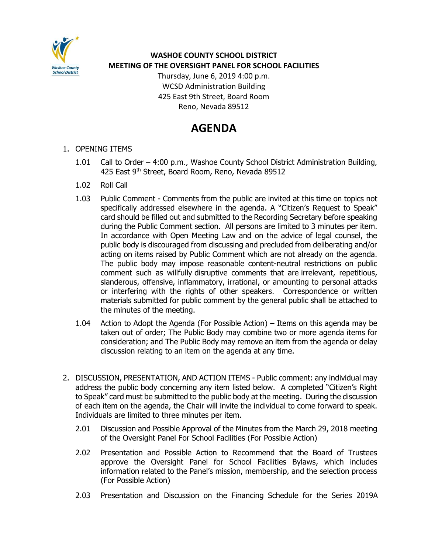

**WASHOE COUNTY SCHOOL DISTRICT MEETING OF THE OVERSIGHT PANEL FOR SCHOOL FACILITIES**

> Thursday, June 6, 2019 4:00 p.m. WCSD Administration Building 425 East 9th Street, Board Room Reno, Nevada 89512

## **AGENDA**

- 1. OPENING ITEMS
	- 1.01 Call to Order 4:00 p.m., Washoe County School District Administration Building, 425 East 9<sup>th</sup> Street, Board Room, Reno, Nevada 89512
	- 1.02 Roll Call
	- 1.03 Public Comment Comments from the public are invited at this time on topics not specifically addressed elsewhere in the agenda. A "Citizen's Request to Speak" card should be filled out and submitted to the Recording Secretary before speaking during the Public Comment section. All persons are limited to 3 minutes per item. In accordance with Open Meeting Law and on the advice of legal counsel, the public body is discouraged from discussing and precluded from deliberating and/or acting on items raised by Public Comment which are not already on the agenda. The public body may impose reasonable content-neutral restrictions on public comment such as willfully disruptive comments that are irrelevant, repetitious, slanderous, offensive, inflammatory, irrational, or amounting to personal attacks or interfering with the rights of other speakers. Correspondence or written materials submitted for public comment by the general public shall be attached to the minutes of the meeting.
	- 1.04 Action to Adopt the Agenda (For Possible Action) Items on this agenda may be taken out of order; The Public Body may combine two or more agenda items for consideration; and The Public Body may remove an item from the agenda or delay discussion relating to an item on the agenda at any time.
- 2. DISCUSSION, PRESENTATION, AND ACTION ITEMS Public comment: any individual may address the public body concerning any item listed below. A completed "Citizen's Right to Speak" card must be submitted to the public body at the meeting. During the discussion of each item on the agenda, the Chair will invite the individual to come forward to speak. Individuals are limited to three minutes per item.
	- 2.01 Discussion and Possible Approval of the Minutes from the March 29, 2018 meeting of the Oversight Panel For School Facilities (For Possible Action)
	- 2.02 Presentation and Possible Action to Recommend that the Board of Trustees approve the Oversight Panel for School Facilities Bylaws, which includes information related to the Panel's mission, membership, and the selection process (For Possible Action)
	- 2.03 Presentation and Discussion on the Financing Schedule for the Series 2019A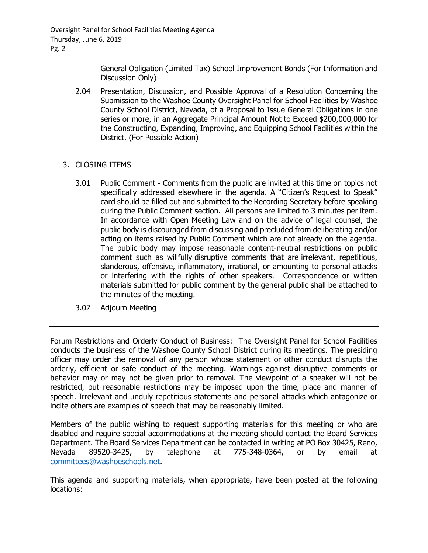General Obligation (Limited Tax) School Improvement Bonds (For Information and Discussion Only)

2.04 Presentation, Discussion, and Possible Approval of a Resolution Concerning the Submission to the Washoe County Oversight Panel for School Facilities by Washoe County School District, Nevada, of a Proposal to Issue General Obligations in one series or more, in an Aggregate Principal Amount Not to Exceed \$200,000,000 for the Constructing, Expanding, Improving, and Equipping School Facilities within the District. (For Possible Action)

## 3. CLOSING ITEMS

- 3.01 Public Comment Comments from the public are invited at this time on topics not specifically addressed elsewhere in the agenda. A "Citizen's Request to Speak" card should be filled out and submitted to the Recording Secretary before speaking during the Public Comment section. All persons are limited to 3 minutes per item. In accordance with Open Meeting Law and on the advice of legal counsel, the public body is discouraged from discussing and precluded from deliberating and/or acting on items raised by Public Comment which are not already on the agenda. The public body may impose reasonable content-neutral restrictions on public comment such as willfully disruptive comments that are irrelevant, repetitious, slanderous, offensive, inflammatory, irrational, or amounting to personal attacks or interfering with the rights of other speakers. Correspondence or written materials submitted for public comment by the general public shall be attached to the minutes of the meeting.
- 3.02 Adjourn Meeting

Forum Restrictions and Orderly Conduct of Business: The Oversight Panel for School Facilities conducts the business of the Washoe County School District during its meetings. The presiding officer may order the removal of any person whose statement or other conduct disrupts the orderly, efficient or safe conduct of the meeting. Warnings against disruptive comments or behavior may or may not be given prior to removal. The viewpoint of a speaker will not be restricted, but reasonable restrictions may be imposed upon the time, place and manner of speech. Irrelevant and unduly repetitious statements and personal attacks which antagonize or incite others are examples of speech that may be reasonably limited.

Members of the public wishing to request supporting materials for this meeting or who are disabled and require special accommodations at the meeting should contact the Board Services Department. The Board Services Department can be contacted in writing at PO Box 30425, Reno, Nevada 89520-3425, by telephone at 775-348-0364, or by email at [committees@washoeschools.net.](mailto:committees@washoeschools.net)

This agenda and supporting materials, when appropriate, have been posted at the following locations: